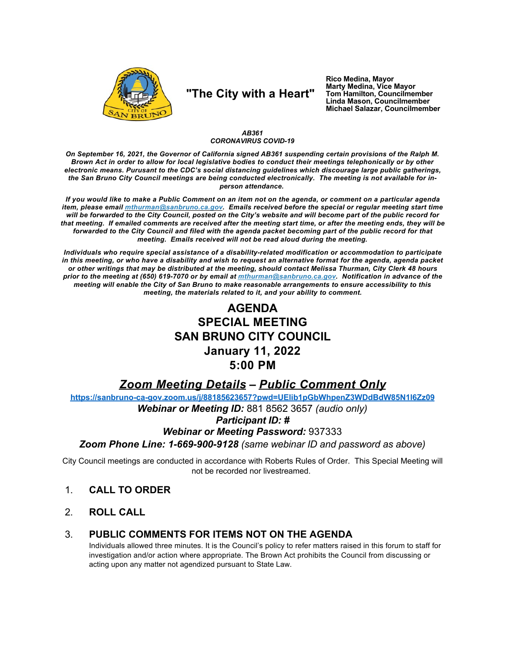

# "The City with a Heart"

Rico Medina, Mayor **Marty Medina, Vice Mayor** Tom Hamilton, Councilmember Linda Mason, Councilmember Michael Salazar, Councilmember

### AB361 **CORONAVIRUS COVID-19**

On September 16, 2021, the Governor of California signed AB361 suspending certain provisions of the Ralph M. Brown Act in order to allow for local legislative bodies to conduct their meetings telephonically or by other electronic means. Purusant to the CDC's social distancing guidelines which discourage large public gatherings, the San Bruno City Council meetings are being conducted electronically. The meeting is not available for inperson attendance.

If you would like to make a Public Comment on an item not on the agenda, or comment on a particular agenda item, please email *mthurman@sanbruno.ca.gov.* Emails received before the special or regular meeting start time will be forwarded to the City Council, posted on the City's website and will become part of the public record for that meeting. If emailed comments are received after the meeting start time, or after the meeting ends, they will be forwarded to the City Council and filed with the agenda packet becoming part of the public record for that meeting. Emails received will not be read aloud during the meeting.

Individuals who require special assistance of a disability-related modification or accommodation to participate in this meeting, or who have a disability and wish to request an alternative format for the agenda, agenda packet or other writings that may be distributed at the meeting, should contact Melissa Thurman, City Clerk 48 hours prior to the meeting at (650) 619-7070 or by email at mthurman@sanbruno.ca.gov. Notification in advance of the meeting will enable the City of San Bruno to make reasonable arrangements to ensure accessibility to this meeting, the materials related to it, and your ability to comment.

## **AGENDA SPECIAL MEETING SAN BRUNO CITY COUNCIL January 11, 2022**  $5:00$  PM

## **Zoom Meeting Details - Public Comment Only**

https://sanbruno-ca-gov.zoom.us/j/88185623657?pwd=UElib1pGbWhpenZ3WDdBdW85N1l6Zz09

Webinar or Meeting ID: 881 8562 3657 (audio only)

## **Participant ID: #**

## **Webinar or Meeting Password: 937333**

Zoom Phone Line: 1-669-900-9128 (same webinar ID and password as above)

City Council meetings are conducted in accordance with Roberts Rules of Order. This Special Meeting will not be recorded nor livestreamed.

- **CALL TO ORDER**  $1<sub>1</sub>$
- $\mathcal{P}$ **ROLL CALL**

#### $3_{-}$ PUBLIC COMMENTS FOR ITEMS NOT ON THE AGENDA

Individuals allowed three minutes. It is the Council's policy to refer matters raised in this forum to staff for investigation and/or action where appropriate. The Brown Act prohibits the Council from discussing or acting upon any matter not agendized pursuant to State Law.